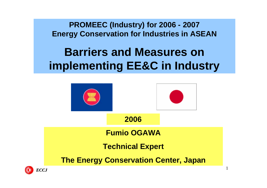**PROMEEC (Industry) for 2006 - 2007 Energy Conservation for Industries in ASEAN**

## **Barriers and Measures on implementing EE&C in Industry**



1

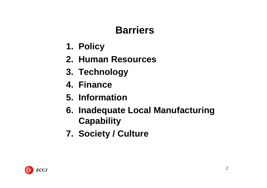### **Barriers**

- **1. Policy**
- **2. Human Resources**
- **3. Technology**
- **4. Finance**
- **5. Information**
- **6. Inadequate Local Manufacturing Capability**
- **7. Society / Culture**

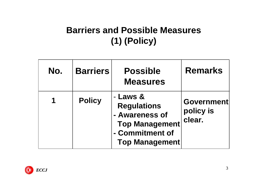#### **Barriers and Possible Measures (1) (Policy)**

| No. | <b>Barriers</b> | <b>Possible</b><br><b>Measures</b>                                                                                    | <b>Remarks</b>                           |
|-----|-----------------|-----------------------------------------------------------------------------------------------------------------------|------------------------------------------|
|     | <b>Policy</b>   | - Laws &<br><b>Regulations</b><br>- Awareness of<br><b>Top Management</b><br>- Commitment of<br><b>Top Management</b> | <b>Government</b><br>policy is<br>clear. |

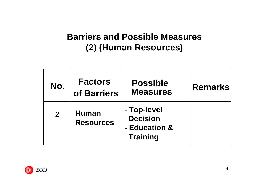#### **Barriers and Possible Measures (2) (Human Resources)**

| No.          | <b>Factors</b><br>of Barriers    | <b>Possible</b><br><b>Measures</b>                                 | <b>Remarks</b> |
|--------------|----------------------------------|--------------------------------------------------------------------|----------------|
| $\mathbf{2}$ | <b>Human</b><br><b>Resources</b> | - Top-level<br><b>Decision</b><br>- Education &<br><b>Training</b> |                |

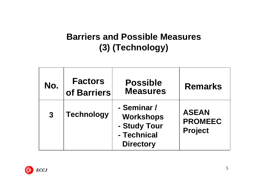#### **Barriers and Possible Measures (3) (Technology)**

| No.          | <b>Factors</b><br>of Barriers | <b>Possible</b><br><b>Measures</b>                                                 | <b>Remarks</b>                                   |
|--------------|-------------------------------|------------------------------------------------------------------------------------|--------------------------------------------------|
| $\mathbf{3}$ | <b>Technology</b>             | - Seminar /<br><b>Workshops</b><br>- Study Tour<br>- Technical<br><b>Directory</b> | <b>ASEAN</b><br><b>PROMEEC</b><br><b>Project</b> |

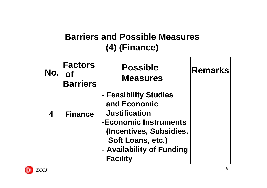#### **Barriers and Possible Measures (4) (Finance)**

| No. | <b>Factors</b><br><b>Barriers</b> | <b>Possible</b><br><b>Measures</b>                                                                                                                                                     | <b>Remarks</b> |
|-----|-----------------------------------|----------------------------------------------------------------------------------------------------------------------------------------------------------------------------------------|----------------|
| 4   | <b>Finance</b>                    | - Feasibility Studies<br>and Economic<br><b>Justification</b><br>-Economic Instruments<br>(Incentives, Subsidies,<br>Soft Loans, etc.)<br>- Availability of Funding<br><b>Facility</b> |                |

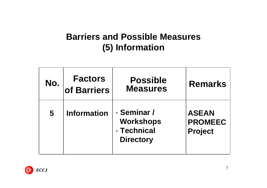#### **Barriers and Possible Measures (5) Information**

| No. | <b>Factors</b><br>of Barriers | <b>Possible</b><br><b>Measures</b>                                 | <b>Remarks</b>                                   |
|-----|-------------------------------|--------------------------------------------------------------------|--------------------------------------------------|
| 5   | <b>Information</b>            | - Seminar /<br><b>Workshops</b><br>- Technical<br><b>Directory</b> | <b>ASEAN</b><br><b>PROMEEC</b><br><b>Project</b> |

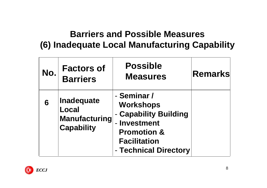#### **Barriers and Possible Measures (6) Inadequate Local Manufacturing Capability**

| No. | <b>Factors of</b><br><b>Barriers</b>                                    | <b>Possible</b><br><b>Measures</b>                                                                                                                 | <b>Remarks</b> |
|-----|-------------------------------------------------------------------------|----------------------------------------------------------------------------------------------------------------------------------------------------|----------------|
| 6   | <b>Inadequate</b><br>Local<br><b>Manufacturing</b><br><b>Capability</b> | - Seminar /<br><b>Workshops</b><br>- Capability Building<br>- Investment<br><b>Promotion &amp;</b><br><b>Facilitation</b><br>- Technical Directory |                |

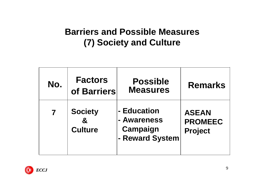#### **Barriers and Possible Measures (7) Society and Culture**

| No. | <b>Factors</b><br>of Barriers                    | <b>Possible</b><br><b>Measures</b>                        | <b>Remarks</b>                                   |
|-----|--------------------------------------------------|-----------------------------------------------------------|--------------------------------------------------|
|     | <b>Society</b><br>$\mathbf{g}$<br><b>Culture</b> | - Education<br>- Awareness<br>Campaign<br>- Reward System | <b>ASEAN</b><br><b>PROMEEC</b><br><b>Project</b> |